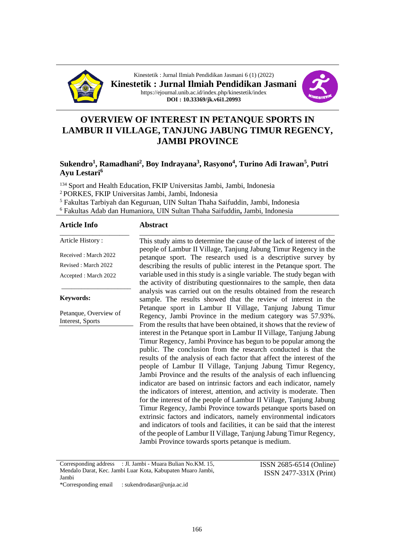

Kinestetik : Jurnal Ilmiah Pendidikan Jasmani 6 (1) (2022) **Kinestetik : Jurnal Ilmiah Pendidikan Jasmani** https://ejournal.unib.ac.id/index.php/kinestetik/index **DOI : 10.33369/jk.v6i1.20993**



# **OVERVIEW OF INTEREST IN PETANQUE SPORTS IN LAMBUR II VILLAGE, TANJUNG JABUNG TIMUR REGENCY, JAMBI PROVINCE**

# **Sukendro<sup>1</sup> , Ramadhani<sup>2</sup> , Boy Indrayana<sup>3</sup> , Rasyono<sup>4</sup> , Turino Adi Irawan<sup>5</sup> , Putri Ayu Lestari<sup>6</sup>**

<sup>134</sup> Sport and Health Education, FKIP Universitas Jambi, Jambi, Indonesia <sup>2</sup>PORKES, FKIP Universitas Jambi, Jambi, Indonesia <sup>5</sup> Fakultas Tarbiyah dan Keguruan, UIN Sultan Thaha Saifuddin, Jambi, Indonesia

<sup>6</sup> Fakultas Adab dan Humaniora, UIN Sultan Thaha Saifuddin**,** Jambi, Indonesia

#### **Article Info**

#### **Abstract** \_\_\_\_\_\_\_\_\_\_\_\_\_\_\_\_\_\_\_\_\_\_\_\_\_\_\_\_\_\_\_\_\_\_\_\_\_\_\_\_\_\_\_\_\_\_\_\_\_\_\_\_\_\_\_\_\_\_\_

Article History : Received : March 2022 Revised : March 2022

Accepted : March 2022

\_\_\_\_\_\_\_\_\_\_\_\_\_\_\_\_\_\_\_\_\_

\_\_\_\_\_\_\_\_\_\_\_\_\_\_\_\_\_\_\_\_\_

**Keywords:**

Petanque, Overview of Interest, Sports

This study aims to determine the cause of the lack of interest of the people of Lambur II Village, Tanjung Jabung Timur Regency in the petanque sport. The research used is a descriptive survey by describing the results of public interest in the Petanque sport. The variable used in this study is a single variable. The study began with the activity of distributing questionnaires to the sample, then data analysis was carried out on the results obtained from the research sample. The results showed that the review of interest in the Petanque sport in Lambur II Village, Tanjung Jabung Timur Regency, Jambi Province in the medium category was 57.93%. From the results that have been obtained, it shows that the review of interest in the Petanque sport in Lambur II Village, Tanjung Jabung Timur Regency, Jambi Province has begun to be popular among the public. The conclusion from the research conducted is that the results of the analysis of each factor that affect the interest of the people of Lambur II Village, Tanjung Jabung Timur Regency, Jambi Province and the results of the analysis of each influencing indicator are based on intrinsic factors and each indicator, namely the indicators of interest, attention, and activity is moderate. Then for the interest of the people of Lambur II Village, Tanjung Jabung Timur Regency, Jambi Province towards petanque sports based on extrinsic factors and indicators, namely environmental indicators and indicators of tools and facilities, it can be said that the interest of the people of Lambur II Village, Tanjung Jabung Timur Regency, Jambi Province towards sports petanque is medium.

Corresponding address : Jl. Jambi - Muara Bulian No.KM. 15, Mendalo Darat, Kec. Jambi Luar Kota, Kabupaten Muaro Jambi, Jambi

ISSN 2685-6514 (Online) ISSN 2477-331X (Print)

\*Corresponding email : sukendrodasar@unja.ac.id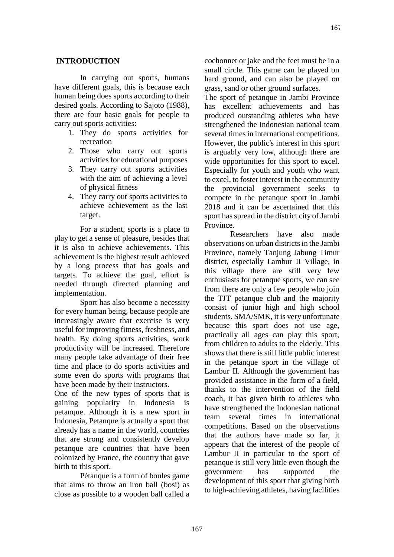### **INTRODUCTION**

In carrying out sports, humans have different goals, this is because each human being does sports according to their desired goals. According to Sajoto (1988), there are four basic goals for people to carry out sports activities:

- 1. They do sports activities for recreation
- 2. Those who carry out sports activities for educational purposes
- 3. They carry out sports activities with the aim of achieving a level of physical fitness
- 4. They carry out sports activities to achieve achievement as the last target.

For a student, sports is a place to play to get a sense of pleasure, besides that it is also to achieve achievements. This achievement is the highest result achieved by a long process that has goals and targets. To achieve the goal, effort is needed through directed planning and implementation.

Sport has also become a necessity for every human being, because people are increasingly aware that exercise is very useful for improving fitness, freshness, and health. By doing sports activities, work productivity will be increased. Therefore many people take advantage of their free time and place to do sports activities and some even do sports with programs that have been made by their instructors.

One of the new types of sports that is gaining popularity in Indonesia is petanque. Although it is a new sport in Indonesia, Petanque is actually a sport that already has a name in the world, countries that are strong and consistently develop petanque are countries that have been colonized by France, the country that gave birth to this sport.

Pétanque is a form of boules game that aims to throw an iron ball (bosi) as close as possible to a wooden ball called a cochonnet or jake and the feet must be in a small circle. This game can be played on hard ground, and can also be played on grass, sand or other ground surfaces.

The sport of petanque in Jambi Province has excellent achievements and has produced outstanding athletes who have strengthened the Indonesian national team several times in international competitions. However, the public's interest in this sport is arguably very low, although there are wide opportunities for this sport to excel. Especially for youth and youth who want to excel, to foster interest in the community the provincial government seeks to compete in the petanque sport in Jambi 2018 and it can be ascertained that this sport has spread in the district city of Jambi Province.

Researchers have also made observations on urban districts in the Jambi Province, namely Tanjung Jabung Timur district, especially Lambur II Village, in this village there are still very few enthusiasts for petanque sports, we can see from there are only a few people who join the TJT petanque club and the majority consist of junior high and high school students. SMA/SMK, it is very unfortunate because this sport does not use age, practically all ages can play this sport, from children to adults to the elderly. This shows that there is still little public interest in the petanque sport in the village of Lambur II. Although the government has provided assistance in the form of a field, thanks to the intervention of the field coach, it has given birth to athletes who have strengthened the Indonesian national team several times in international competitions. Based on the observations that the authors have made so far, it appears that the interest of the people of Lambur II in particular to the sport of petanque is still very little even though the government has supported the development of this sport that giving birth to high-achieving athletes, having facilities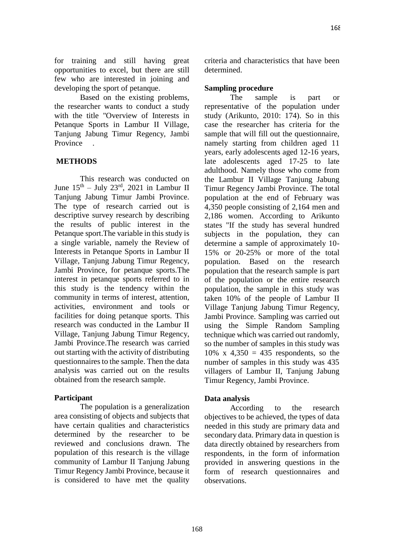Based on the existing problems, the researcher wants to conduct a study with the title "Overview of Interests in Petanque Sports in Lambur II Village, Tanjung Jabung Timur Regency, Jambi Province .

# **METHODS**

This research was conducted on June  $15<sup>th</sup> - July 23<sup>rd</sup>$ , 2021 in Lambur II Tanjung Jabung Timur Jambi Province. The type of research carried out is descriptive survey research by describing the results of public interest in the Petanque sport.The variable in this study is a single variable, namely the Review of Interests in Petanque Sports in Lambur II Village, Tanjung Jabung Timur Regency, Jambi Province, for petanque sports.The interest in petanque sports referred to in this study is the tendency within the community in terms of interest, attention, activities, environment and tools or facilities for doing petanque sports. This research was conducted in the Lambur II Village, Tanjung Jabung Timur Regency, Jambi Province.The research was carried out starting with the activity of distributing questionnaires to the sample. Then the data analysis was carried out on the results obtained from the research sample.

# **Participant**

The population is a generalization area consisting of objects and subjects that have certain qualities and characteristics determined by the researcher to be reviewed and conclusions drawn. The population of this research is the village community of Lambur II Tanjung Jabung Timur Regency Jambi Province, because it is considered to have met the quality criteria and characteristics that have been determined.

# **Sampling procedure**

The sample is part or representative of the population under study (Arikunto, 2010: 174). So in this case the researcher has criteria for the sample that will fill out the questionnaire, namely starting from children aged 11 years, early adolescents aged 12-16 years, late adolescents aged 17-25 to late adulthood. Namely those who come from the Lambur II Village Tanjung Jabung Timur Regency Jambi Province. The total population at the end of February was 4,350 people consisting of 2,164 men and 2,186 women. According to Arikunto states "If the study has several hundred subjects in the population, they can determine a sample of approximately 10- 15% or 20-25% or more of the total population. Based on the research population that the research sample is part of the population or the entire research population, the sample in this study was taken 10% of the people of Lambur II Village Tanjung Jabung Timur Regency, Jambi Province. Sampling was carried out using the Simple Random Sampling technique which was carried out randomly, so the number of samples in this study was  $10\%$  x  $4,350 = 435$  respondents, so the number of samples in this study was 435 villagers of Lambur II, Tanjung Jabung Timur Regency, Jambi Province.

# **Data analysis**

According to the research objectives to be achieved, the types of data needed in this study are primary data and secondary data. Primary data in question is data directly obtained by researchers from respondents, in the form of information provided in answering questions in the form of research questionnaires and observations.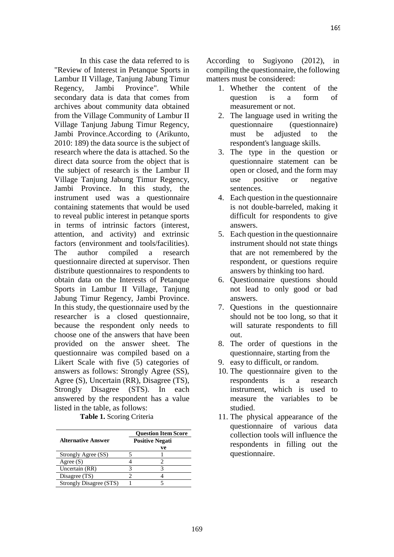In this case the data referred to is "Review of Interest in Petanque Sports in Lambur II Village, Tanjung Jabung Timur Regency, Jambi Province". While secondary data is data that comes from archives about community data obtained from the Village Community of Lambur II Village Tanjung Jabung Timur Regency, Jambi Province.According to (Arikunto, 2010: 189) the data source is the subject of research where the data is attached. So the direct data source from the object that is the subject of research is the Lambur II Village Tanjung Jabung Timur Regency, Jambi Province. In this study, the instrument used was a questionnaire containing statements that would be used to reveal public interest in petanque sports in terms of intrinsic factors (interest, attention, and activity) and extrinsic factors (environment and tools/facilities). The author compiled a research questionnaire directed at supervisor. Then distribute questionnaires to respondents to obtain data on the Interests of Petanque Sports in Lambur II Village, Tanjung Jabung Timur Regency, Jambi Province. In this study, the questionnaire used by the researcher is a closed questionnaire, because the respondent only needs to choose one of the answers that have been provided on the answer sheet. The questionnaire was compiled based on a Likert Scale with five (5) categories of answers as follows: Strongly Agree (SS), Agree (S), Uncertain (RR), Disagree (TS), Strongly Disagree (STS). In each answered by the respondent has a value listed in the table, as follows:

### **Table 1.** Scoring Criteria

|                           | <b>Ouestion Item Score</b> |                        |  |
|---------------------------|----------------------------|------------------------|--|
| <b>Alternative Answer</b> |                            | <b>Positive Negati</b> |  |
|                           |                            | ve                     |  |
| Strongly Agree (SS)       |                            |                        |  |
| Agree $(S)$               |                            |                        |  |
| Uncertain (RR)            |                            |                        |  |
| Disagree (TS)             |                            |                        |  |
| Strongly Disagree (STS)   |                            |                        |  |

According to Sugiyono (2012), in compiling the questionnaire, the following matters must be considered:

- 1. Whether the content of the question is a form of measurement or not.
- 2. The language used in writing the questionnaire (questionnaire) must be adjusted to the respondent's language skills.
- 3. The type in the question or questionnaire statement can be open or closed, and the form may use positive or negative sentences.
- 4. Each question in the questionnaire is not double-barreled, making it difficult for respondents to give answers.
- 5. Each question in the questionnaire instrument should not state things that are not remembered by the respondent, or questions require answers by thinking too hard.
- 6. Questionnaire questions should not lead to only good or bad answers.
- 7. Questions in the questionnaire should not be too long, so that it will saturate respondents to fill out.
- 8. The order of questions in the questionnaire, starting from the
- 9. easy to difficult, or random.
- 10. The questionnaire given to the respondents is a research instrument, which is used to measure the variables to be studied.
- 11. The physical appearance of the questionnaire of various data collection tools will influence the respondents in filling out the questionnaire.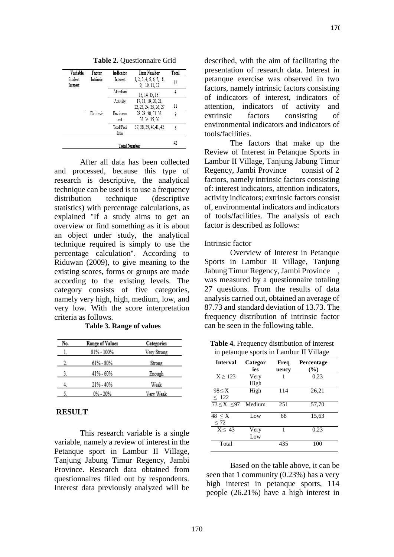**Table 2.** Questionnaire Grid

| Variable            | Factor    | Indicator           | Item Number                                   | Total |
|---------------------|-----------|---------------------|-----------------------------------------------|-------|
| Student<br>Interest | Intrinsic | Interest            | 1, 2, 3, 4, 5, 6, 7, 8,<br>9, 10, 11, 12      | 12    |
|                     |           | Attention           | 13, 14, 15, 16                                |       |
|                     |           | Activity            | 17, 18, 19, 20, 21,<br>22, 23, 24, 25, 26, 27 | 11    |
|                     | Extrinsic | Environm<br>ent     | 28, 29, 30, 31, 32,<br>33, 34, 35, 36         | 9     |
|                     |           | Tool/Faci<br>litis  | 37, 38, 39, 40, 41, 42                        | 6     |
|                     |           | <b>Total Number</b> |                                               | 42    |

After all data has been collected and processed, because this type of research is descriptive, the analytical technique can be used is to use a frequency distribution technique (descriptive statistics) with percentage calculations, as explained "If a study aims to get an overview or find something as it is about an object under study, the analytical technique required is simply to use the percentage calculation''. According to Riduwan (2009), to give meaning to the existing scores, forms or groups are made according to the existing levels. The category consists of five categories, namely very high, high, medium, low, and very low. With the score interpretation criteria as follows.

**Table 3. Range of values**

| No. | <b>Range of Values</b> | Categories  |
|-----|------------------------|-------------|
| l.  | 81% - 100%             | Very Strong |
| 2.  | 61% - 80%              | Strong      |
| 3.  | 41% - 60%              | Enough      |
| 4.  | 21% - 40%              | Weak        |
|     | 0% - 20%               | Very Weak   |

## **RESULT**

This research variable is a single variable, namely a review of interest in the Petanque sport in Lambur II Village, Tanjung Jabung Timur Regency, Jambi Province. Research data obtained from questionnaires filled out by respondents. Interest data previously analyzed will be described, with the aim of facilitating the presentation of research data. Interest in petanque exercise was observed in two factors, namely intrinsic factors consisting of indicators of interest, indicators of attention, indicators of activity and extrinsic factors consisting of environmental indicators and indicators of tools/facilities.

The factors that make up the Review of Interest in Petanque Sports in Lambur II Village, Tanjung Jabung Timur Regency, Jambi Province consist of 2 factors, namely intrinsic factors consisting of: interest indicators, attention indicators, activity indicators; extrinsic factors consist of, environmental indicators and indicators of tools/facilities. The analysis of each factor is described as follows:

### Intrinsic factor

Overview of Interest in Petanque Sports in Lambur II Village, Tanjung Jabung Timur Regency, Jambi Province , was measured by a questionnaire totaling 27 questions. From the results of data analysis carried out, obtained an average of 87.73 and standard deviation of 13.73. The frequency distribution of intrinsic factor can be seen in the following table.

Table 4. Frequency distribution of interest in petanque sports in Lambur II Village

|                      |         |       | ັ          |
|----------------------|---------|-------|------------|
| <b>Interval</b>      | Categor | Freq  | Percentage |
|                      | ies     | uency | $(\%)$     |
| $X \geq 123$         | Very    |       | 0,23       |
|                      | High    |       |            |
| $98 \leq X$          | High    | 114   | 26.21      |
| $\leq$ 122           |         |       |            |
| $73 < X < 97$ Medium |         | 251   | 57,70      |
| $48 \leq X$          | Low     | 68    | 15,63      |
| $\leq 72$            |         |       |            |
| $X \leq 43$          | Very    | 1     | 0.23       |
|                      | Low     |       |            |
| Total                |         | 435   | 100        |

Based on the table above, it can be seen that 1 community (0.23%) has a very high interest in petanque sports, 114 people (26.21%) have a high interest in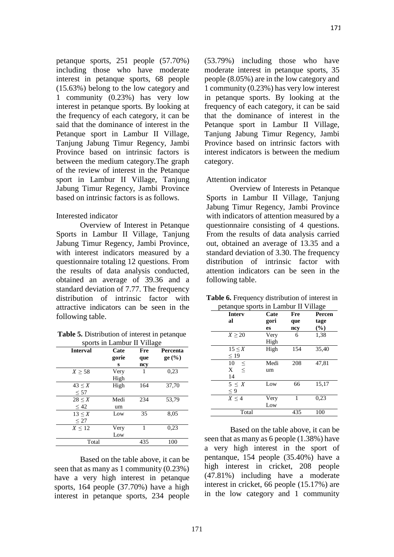petanque sports, 251 people (57.70%) including those who have moderate interest in petanque sports, 68 people (15.63%) belong to the low category and 1 community (0.23%) has very low interest in petanque sports. By looking at the frequency of each category, it can be said that the dominance of interest in the Petanque sport in Lambur II Village, Tanjung Jabung Timur Regency, Jambi Province based on intrinsic factors is between the medium category.The graph of the review of interest in the Petanque sport in Lambur II Village, Tanjung Jabung Timur Regency, Jambi Province based on intrinsic factors is as follows.

## Interested indicator

Overview of Interest in Petanque Sports in Lambur II Village, Tanjung Jabung Timur Regency, Jambi Province, with interest indicators measured by a questionnaire totaling 12 questions. From the results of data analysis conducted, obtained an average of 39.36 and a standard deviation of 7.77. The frequency distribution of intrinsic factor with attractive indicators can be seen in the following table.

**Table 5.** Distribution of interest in petanque sports in Lambur II Village

|                 | мроть ні панной п у піадс |     |          |  |  |
|-----------------|---------------------------|-----|----------|--|--|
| <b>Interval</b> | Cate                      | Fre | Percenta |  |  |
|                 | gorie                     | que | ge (%)   |  |  |
|                 | S                         | ncy |          |  |  |
| $X \geq 58$     | Very                      |     | 0.23     |  |  |
|                 | High                      |     |          |  |  |
| $43 \leq X$     | High                      | 164 | 37,70    |  |  |
| $\leq 57$       |                           |     |          |  |  |
| $28 \le X$      | Medi                      | 234 | 53,79    |  |  |
| $\leq 42$       | um                        |     |          |  |  |
| $13 \leq X$     | Low                       | 35  | 8,05     |  |  |
| $\leq$ 27       |                           |     |          |  |  |
| $X \leq 12$     | Very                      | 1   | 0.23     |  |  |
|                 | Low                       |     |          |  |  |
| Total           |                           | 435 | 100      |  |  |

Based on the table above, it can be seen that as many as 1 community (0.23%) have a very high interest in petanque sports, 164 people (37.70%) have a high interest in petanque sports, 234 people (53.79%) including those who have moderate interest in petanque sports, 35 people (8.05%) are in the low category and 1 community (0.23%) has very low interest in petanque sports. By looking at the frequency of each category, it can be said that the dominance of interest in the Petanque sport in Lambur II Village, Tanjung Jabung Timur Regency, Jambi Province based on intrinsic factors with interest indicators is between the medium category.

## Attention indicator

Overview of Interests in Petanque Sports in Lambur II Village, Tanjung Jabung Timur Regency, Jambi Province with indicators of attention measured by a questionnaire consisting of 4 questions. From the results of data analysis carried out, obtained an average of 13.35 and a standard deviation of 3.30. The frequency distribution of intrinsic factor with attention indicators can be seen in the following table.

| <b>Table 6.</b> Frequency distribution of interest in |
|-------------------------------------------------------|
| petanque sports in Lambur II Village                  |

| <b>Interv</b> | Cate | Fre | Percen |
|---------------|------|-----|--------|
| al            | gori | que | tage   |
|               | es   | ncy | $(\%)$ |
| $X \geq 20$   | Very | 6   | 1,38   |
|               | High |     |        |
| $15 \leq X$   | High | 154 | 35,40  |
| $\leq$ 19     |      |     |        |
| 10<br>$\leq$  | Medi | 208 | 47,81  |
| $\,<$<br>X    | um   |     |        |
| 14            |      |     |        |
| 5 < X         | Low  | 66  | 15,17  |
| $\leq 9$      |      |     |        |
| $X \leq 4$    | Very | 1   | 0,23   |
|               | Low  |     |        |
| Total         |      | 435 | 100    |

Based on the table above, it can be seen that as many as 6 people (1.38%) have a very high interest in the sport of pentanque, 154 people (35.40%) have a high interest in cricket, 208 people (47.81%) including have a moderate interest in cricket, 66 people (15.17%) are in the low category and 1 community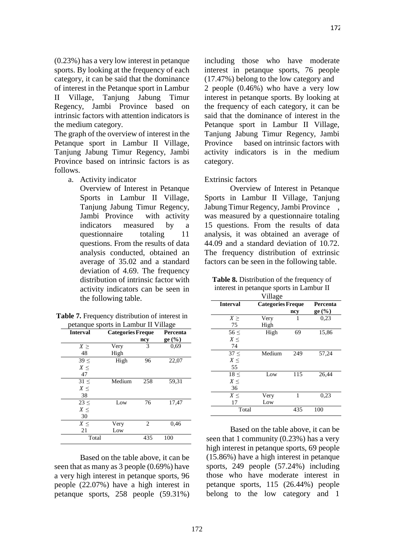(0.23%) has a very low interest in petanque sports. By looking at the frequency of each category, it can be said that the dominance of interest in the Petanque sport in Lambur II Village, Tanjung Jabung Timur Regency, Jambi Province based on intrinsic factors with attention indicators is the medium category.

The graph of the overview of interest in the Petanque sport in Lambur II Village, Tanjung Jabung Timur Regency, Jambi Province based on intrinsic factors is as follows.

a. Activity indicator

Overview of Interest in Petanque Sports in Lambur II Village, Tanjung Jabung Timur Regency, Jambi Province with activity indicators measured by a questionnaire totaling 11 questions. From the results of data analysis conducted, obtained an average of 35.02 and a standard deviation of 4.69. The frequency distribution of intrinsic factor with activity indicators can be seen in the following table.

| <b>Table 7.</b> Frequency distribution of interest in |
|-------------------------------------------------------|
| petanque sports in Lambur II Village                  |

| <b>Interval</b> | <b>Categories Freque</b> |                | Percenta |
|-----------------|--------------------------|----------------|----------|
|                 |                          | ncy            | $ge($ %) |
| $X \geq$        | Very                     | 3              | 0.69     |
| 48              | High                     |                |          |
| 39 <            | High                     | 96             | 22,07    |
| $X \leq$        |                          |                |          |
| 47              |                          |                |          |
| 31 <            | Medium                   | 258            | 59,31    |
| $X \leq$        |                          |                |          |
| 38              |                          |                |          |
| $23 \leq$       | Low                      | 76             | 17,47    |
| $X \leq$        |                          |                |          |
| 30              |                          |                |          |
| $X \leq$        | Very                     | $\overline{c}$ | 0.46     |
| 21              | Low                      |                |          |
| Total           |                          | 435            | 100      |

Based on the table above, it can be seen that as many as 3 people (0.69%) have a very high interest in petanque sports, 96 people (22.07%) have a high interest in petanque sports, 258 people (59.31%) including those who have moderate interest in petanque sports, 76 people (17.47%) belong to the low category and 2 people (0.46%) who have a very low interest in petanque sports. By looking at the frequency of each category, it can be said that the dominance of interest in the Petanque sport in Lambur II Village, Tanjung Jabung Timur Regency, Jambi Province based on intrinsic factors with activity indicators is in the medium category.

### Extrinsic factors

Overview of Interest in Petanque Sports in Lambur II Village, Tanjung Jabung Timur Regency, Jambi Province , was measured by a questionnaire totaling 15 questions. From the results of data analysis, it was obtained an average of 44.09 and a standard deviation of 10.72. The frequency distribution of extrinsic factors can be seen in the following table.

| <b>Table 8.</b> Distribution of the frequency of |  |  |  |
|--------------------------------------------------|--|--|--|
| interest in petanque sports in Lambur II         |  |  |  |

|                 | Village                  |     |          |
|-----------------|--------------------------|-----|----------|
| <b>Interval</b> | <b>Categories Freque</b> |     | Percenta |
|                 |                          | ncy | ge (%)   |
| $X \geq$        | Very                     | 1   | 0.23     |
| 75              | High                     |     |          |
| $56 \leq$       | High                     | 69  | 15,86    |
| X<              |                          |     |          |
| 74              |                          |     |          |
| $37 \leq$       | Medium                   | 249 | 57,24    |
| $X \leq$        |                          |     |          |
| 55              |                          |     |          |
| $18 \leq$       | Low                      | 115 | 26,44    |
| $X \leq$        |                          |     |          |
| 36              |                          |     |          |
| $X \leq$        | Very                     | 1   | 0.23     |
| 17              | Low                      |     |          |
| Total           |                          | 435 | 100      |

Based on the table above, it can be seen that 1 community (0.23%) has a very high interest in petanque sports, 69 people (15.86%) have a high interest in petanque sports, 249 people (57.24%) including those who have moderate interest in petanque sports, 115 (26.44%) people belong to the low category and 1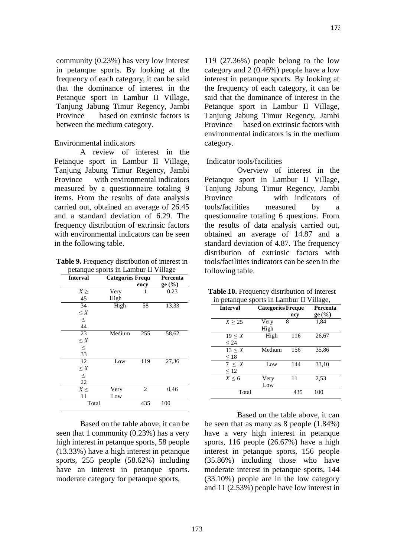community (0.23%) has very low interest in petanque sports. By looking at the frequency of each category, it can be said that the dominance of interest in the Petanque sport in Lambur II Village, Tanjung Jabung Timur Regency, Jambi Province based on extrinsic factors is between the medium category.

#### Environmental indicators

A review of interest in the Petanque sport in Lambur II Village, Tanjung Jabung Timur Regency, Jambi Province with environmental indicators measured by a questionnaire totaling 9 items. From the results of data analysis carried out, obtained an average of 26.45 and a standard deviation of 6.29. The frequency distribution of extrinsic factors with environmental indicators can be seen in the following table.

**Table 9.** Frequency distribution of interest in petanque sports in Lambur II Village

| <b>Interval</b> |        | <b>Categories Frequ</b> |        |
|-----------------|--------|-------------------------|--------|
|                 |        | ency                    | ge (%) |
| $X \geq$        | Very   | 1                       | 0.23   |
| 45              | High   |                         |        |
| 34              | High   | 58                      | 13,33  |
| $\leq X$        |        |                         |        |
| $\leq$          |        |                         |        |
| 44              |        |                         |        |
| 23              | Medium | 255                     | 58,62  |
| $\leq X$        |        |                         |        |
| $\leq$          |        |                         |        |
| 33              |        |                         |        |
| 12              | Low    | 119                     | 27,36  |
| $\leq X$        |        |                         |        |
| $\leq$          |        |                         |        |
| 22              |        |                         |        |
| $X \leq$        | Very   | $\overline{c}$          | 0,46   |
| 11              | Low    |                         |        |
| Total           |        | 435                     | 100    |

Based on the table above, it can be seen that 1 community (0.23%) has a very high interest in petanque sports, 58 people (13.33%) have a high interest in petanque sports, 255 people (58.62%) including have an interest in petanque sports. moderate category for petanque sports,

119 (27.36%) people belong to the low category and 2 (0.46%) people have a low interest in petanque sports. By looking at the frequency of each category, it can be said that the dominance of interest in the Petanque sport in Lambur II Village, Tanjung Jabung Timur Regency, Jambi Province based on extrinsic factors with environmental indicators is in the medium category.

### Indicator tools/facilities

Overview of interest in the Petanque sport in Lambur II Village, Tanjung Jabung Timur Regency, Jambi Province with indicators of tools/facilities measured by a questionnaire totaling 6 questions. From the results of data analysis carried out, obtained an average of 14.87 and a standard deviation of 4.87. The frequency distribution of extrinsic factors with tools/facilities indicators can be seen in the following table.

|  | Table 10. Frequency distribution of interest |                               |  |
|--|----------------------------------------------|-------------------------------|--|
|  |                                              | . . <del>.</del> <del>.</del> |  |

| in petanque sports in Lambur II Village, |                          |     |          |
|------------------------------------------|--------------------------|-----|----------|
| <b>Interval</b>                          | <b>Categories Freque</b> |     | Percenta |
|                                          |                          | ncy | ge (%)   |
| X > 25                                   | Very                     | 8   | 1.84     |
|                                          | High                     |     |          |
| $19 \leq X$                              | High                     | 116 | 26,67    |
| < 24                                     |                          |     |          |
| $13 \leq X$                              | Medium                   | 156 | 35.86    |
| $\leq 18$                                |                          |     |          |
| 7 < X                                    | Low                      | 144 | 33,10    |
| $\leq 12$                                |                          |     |          |
| $X \leq 6$                               | Very                     | 11  | 2.53     |
|                                          | Low                      |     |          |
| Total                                    |                          | 435 | 100      |

Based on the table above, it can be seen that as many as 8 people (1.84%) have a very high interest in petanque sports, 116 people (26.67%) have a high interest in petanque sports, 156 people (35.86%) including those who have moderate interest in petanque sports, 144 (33.10%) people are in the low category and 11 (2.53%) people have low interest in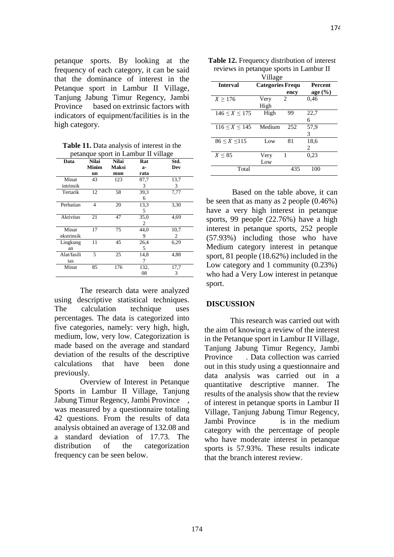petanque sports. By looking at the frequency of each category, it can be said that the dominance of interest in the Petanque sport in Lambur II Village, Tanjung Jabung Timur Regency, Jambi Province based on extrinsic factors with indicators of equipment/facilities is in the high category.

**Table 11.** Data analysis of interest in the petanque sport in Lambur II village

|             | ** °P        |              |      | $\cdots$ |
|-------------|--------------|--------------|------|----------|
| Data        | <b>Nilai</b> | <b>Nilai</b> | Rat  | Std.     |
|             | Minim        | <b>Maksi</b> | a-   | Dev      |
|             | un           | mun          | rata |          |
| Minat       | 43           | 123          | 87,7 | 13,7     |
| intrinsik   |              |              | 3    | 3        |
| Tertarik    | 12           | 58           | 39,3 | 7,77     |
|             |              |              | 6    |          |
| Perhatian   | 4            | 20           | 13,3 | 3.30     |
|             |              |              | 5    |          |
| Aktivitas   | 21           | 47           | 35,0 | 4.69     |
|             |              |              | 2    |          |
| Minat       | 17           | 75           | 44,0 | 10,7     |
| ekstrinsik  |              |              | 9    | 2        |
| Lingkung    | 11           | 45           | 26,4 | 6,29     |
| an          |              |              | 5    |          |
| Alat/fasili | 5            | 25           | 14,8 | 4,88     |
| tas         |              |              | 7    |          |
| Minat       | 85           | 176          | 132. | 17,7     |
|             |              |              | 08   | 3        |
|             |              |              |      |          |

The research data were analyzed using descriptive statistical techniques. The calculation technique uses percentages. The data is categorized into five categories, namely: very high, high, medium, low, very low. Categorization is made based on the average and standard deviation of the results of the descriptive calculations that have been done previously.

Overview of Interest in Petanque Sports in Lambur II Village, Tanjung Jabung Timur Regency, Jambi Province , was measured by a questionnaire totaling 42 questions. From the results of data analysis obtained an average of 132.08 and a standard deviation of 17.73. The distribution of the categorization frequency can be seen below.

|                     | Village                  |      |                                          |
|---------------------|--------------------------|------|------------------------------------------|
| <b>Interval</b>     | <b>Categories Freque</b> | ency | Percent<br>$age\left(\frac{0}{0}\right)$ |
| X > 176             | Very<br>High             | 2    | 0,46                                     |
| $146 \le X \le 175$ | High                     | 99   | 22,7<br>6                                |
| $116 \le X \le 145$ | Medium                   | 252  | 57,9<br>3                                |
| $86 \le X \le 115$  | Low                      | 81   | 18,6<br>2                                |
| $X \leq 85$         | Very<br>Low              | 1    | 0,23                                     |
| Total               |                          | 435  | 100                                      |

| <b>Table 12.</b> Frequency distribution of interest |
|-----------------------------------------------------|
| reviews in petanque sports in Lambur II             |

Based on the table above, it can be seen that as many as 2 people (0.46%) have a very high interest in petanque sports, 99 people (22.76%) have a high interest in petanque sports, 252 people (57.93%) including those who have Medium category interest in petanque sport, 81 people (18.62%) included in the Low category and 1 community (0.23%) who had a Very Low interest in petanque sport.

## **DISCUSSION**

This research was carried out with the aim of knowing a review of the interest in the Petanque sport in Lambur II Village, Tanjung Jabung Timur Regency, Jambi Province . Data collection was carried out in this study using a questionnaire and data analysis was carried out in a quantitative descriptive manner. The results of the analysis show that the review of interest in petanque sports in Lambur II Village, Tanjung Jabung Timur Regency, Jambi Province is in the medium category with the percentage of people who have moderate interest in petanque sports is 57.93%. These results indicate that the branch interest review.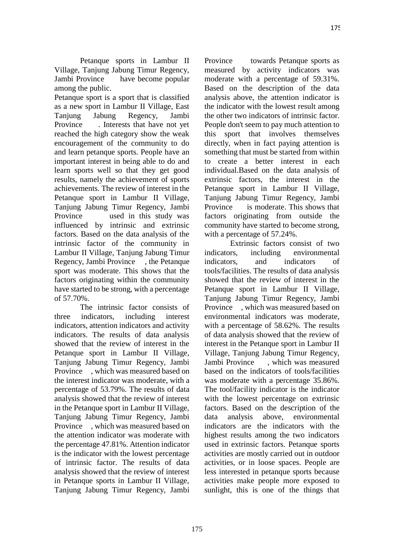Petanque sports in Lambur II Village, Tanjung Jabung Timur Regency, Jambi Province have become popular among the public.

Petanque sport is a sport that is classified as a new sport in Lambur II Village, East Tanjung Jabung Regency, Jambi Province . Interests that have not yet reached the high category show the weak encouragement of the community to do and learn petanque sports. People have an important interest in being able to do and learn sports well so that they get good results, namely the achievement of sports achievements. The review of interest in the Petanque sport in Lambur II Village, Tanjung Jabung Timur Regency, Jambi Province used in this study was influenced by intrinsic and extrinsic factors. Based on the data analysis of the intrinsic factor of the community in Lambur II Village, Tanjung Jabung Timur Regency, Jambi Province , the Petanque sport was moderate. This shows that the factors originating within the community have started to be strong, with a percentage of 57.70%.

The intrinsic factor consists of three indicators, including interest indicators, attention indicators and activity indicators. The results of data analysis showed that the review of interest in the Petanque sport in Lambur II Village, Tanjung Jabung Timur Regency, Jambi Province , which was measured based on the interest indicator was moderate, with a percentage of 53.79%. The results of data analysis showed that the review of interest in the Petanque sport in Lambur II Village, Tanjung Jabung Timur Regency, Jambi Province , which was measured based on the attention indicator was moderate with the percentage 47.81%. Attention indicator is the indicator with the lowest percentage of intrinsic factor. The results of data analysis showed that the review of interest in Petanque sports in Lambur II Village, Tanjung Jabung Timur Regency, Jambi Province towards Petanque sports as measured by activity indicators was moderate with a percentage of 59.31%. Based on the description of the data analysis above, the attention indicator is the indicator with the lowest result among the other two indicators of intrinsic factor. People don't seem to pay much attention to this sport that involves themselves directly, when in fact paying attention is something that must be started from within to create a better interest in each individual.Based on the data analysis of extrinsic factors, the interest in the Petanque sport in Lambur II Village, Tanjung Jabung Timur Regency, Jambi Province is moderate. This shows that factors originating from outside the community have started to become strong, with a percentage of 57.24%.

Extrinsic factors consist of two indicators, including environmental indicators, and indicators of tools/facilities. The results of data analysis showed that the review of interest in the Petanque sport in Lambur II Village, Tanjung Jabung Timur Regency, Jambi Province , which was measured based on environmental indicators was moderate, with a percentage of 58.62%. The results of data analysis showed that the review of interest in the Petanque sport in Lambur II Village, Tanjung Jabung Timur Regency, Jambi Province , which was measured based on the indicators of tools/facilities was moderate with a percentage 35.86%. The tool/facility indicator is the indicator with the lowest percentage on extrinsic factors. Based on the description of the data analysis above, environmental indicators are the indicators with the highest results among the two indicators used in extrinsic factors. Petanque sports activities are mostly carried out in outdoor activities, or in loose spaces. People are less interested in petanque sports because activities make people more exposed to sunlight, this is one of the things that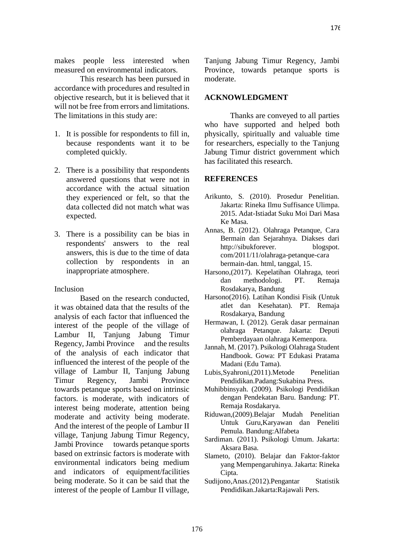176

makes people less interested when measured on environmental indicators.

This research has been pursued in accordance with procedures and resulted in objective research, but it is believed that it will not be free from errors and limitations. The limitations in this study are:

- 1. It is possible for respondents to fill in, because respondents want it to be completed quickly.
- 2. There is a possibility that respondents answered questions that were not in accordance with the actual situation they experienced or felt, so that the data collected did not match what was expected.
- 3. There is a possibility can be bias in respondents' answers to the real answers, this is due to the time of data collection by respondents in an inappropriate atmosphere.

### Inclusion

Based on the research conducted, it was obtained data that the results of the analysis of each factor that influenced the interest of the people of the village of Lambur II, Tanjung Jabung Timur Regency, Jambi Province and the results of the analysis of each indicator that influenced the interest of the people of the village of Lambur II, Tanjung Jabung Timur Regency, Jambi Province towards petanque sports based on intrinsic factors. is moderate, with indicators of interest being moderate, attention being moderate and activity being moderate. And the interest of the people of Lambur II village, Tanjung Jabung Timur Regency, Jambi Province towards petanque sports based on extrinsic factors is moderate with environmental indicators being medium and indicators of equipment/facilities being moderate. So it can be said that the interest of the people of Lambur II village, Tanjung Jabung Timur Regency, Jambi Province, towards petanque sports is moderate.

### **ACKNOWLEDGMENT**

Thanks are conveyed to all parties who have supported and helped both physically, spiritually and valuable time for researchers, especially to the Tanjung Jabung Timur district government which has facilitated this research.

#### **REFERENCES**

- Arikunto, S. (2010). Prosedur Penelitian. Jakarta: Rineka Ilmu Suffisance Ulimpa. 2015. Adat-Istiadat Suku Moi Dari Masa Ke Masa.
- Annas, B. (2012). Olahraga Petanque, Cara Bermain dan Sejarahnya. Diakses dari http://sibukforever. blogspot. com/2011/11/olahraga-petanque-cara bermain-dan. html, tanggal, 15.
- Harsono,(2017). Kepelatihan Olahraga, teori dan methodologi. PT. Remaja Rosdakarya, Bandung
- Harsono(2016). Latihan Kondisi Fisik (Untuk atlet dan Kesehatan). PT. Remaja Rosdakarya, Bandung
- Hermawan, I. (2012). Gerak dasar permainan olahraga Petanque. Jakarta: Deputi Pemberdayaan olahraga Kemenpora.
- Jannah, M. (2017). Psikologi Olahraga Student Handbook. Gowa: PT Edukasi Pratama Madani (Edu Tama).
- Lubis,Syahroni,(2011).Metode Penelitian Pendidikan.Padang:Sukabina Press.
- Muhibbinsyah. (2009). Psikologi Pendidikan dengan Pendekatan Baru. Bandung: PT. Remaja Rosdakarya.
- Riduwan,(2009).Belajar Mudah Penelitian Untuk Guru,Karyawan dan Peneliti Pemula. Bandung:Alfabeta
- Sardiman. (2011). Psikologi Umum. Jakarta: Aksara Basa.
- Slameto, (2010). Belajar dan Faktor-faktor yang Mempengaruhinya. Jakarta: Rineka Cipta.
- Sudijono,Anas.(2012).Pengantar Statistik Pendidikan.Jakarta:Rajawali Pers.